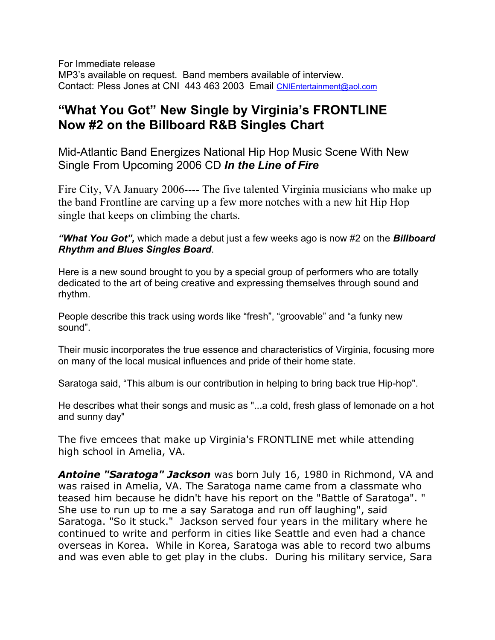For Immediate release MP3's available on request. Band members available of interview. Contact: Pless Jones at CNI 443 463 2003 Email [CNIEntertainment@aol.com](mailto:CNIEntertainment@aol.com)

## **"What You Got" New Single by Virginia's FRONTLINE Now #2 on the Billboard R&B Singles Chart**

Mid-Atlantic Band Energizes National Hip Hop Music Scene With New Single From Upcoming 2006 CD *In the Line of Fire*

Fire City, VA January 2006---- The five talented Virginia musicians who make up the band Frontline are carving up a few more notches with a new hit Hip Hop single that keeps on climbing the charts.

*"What You Got",* which made a debut just a few weeks ago is now #2 on the *Billboard Rhythm and Blues Singles Board*.

Here is a new sound brought to you by a special group of performers who are totally dedicated to the art of being creative and expressing themselves through sound and rhythm.

People describe this track using words like "fresh", "groovable" and "a funky new sound".

Their music incorporates the true essence and characteristics of Virginia, focusing more on many of the local musical influences and pride of their home state.

Saratoga said, "This album is our contribution in helping to bring back true Hip-hop".

He describes what their songs and music as "...a cold, fresh glass of lemonade on a hot and sunny day"

The five emcees that make up Virginia's FRONTLINE met while attending high school in Amelia, VA.

*Antoine "Saratoga" Jackson* was born July 16, 1980 in Richmond, VA and was raised in Amelia, VA. The Saratoga name came from a classmate who teased him because he didn't have his report on the "Battle of Saratoga". " She use to run up to me a say Saratoga and run off laughing", said Saratoga. "So it stuck." Jackson served four years in the military where he continued to write and perform in cities like Seattle and even had a chance overseas in Korea. While in Korea, Saratoga was able to record two albums and was even able to get play in the clubs. During his military service, Sara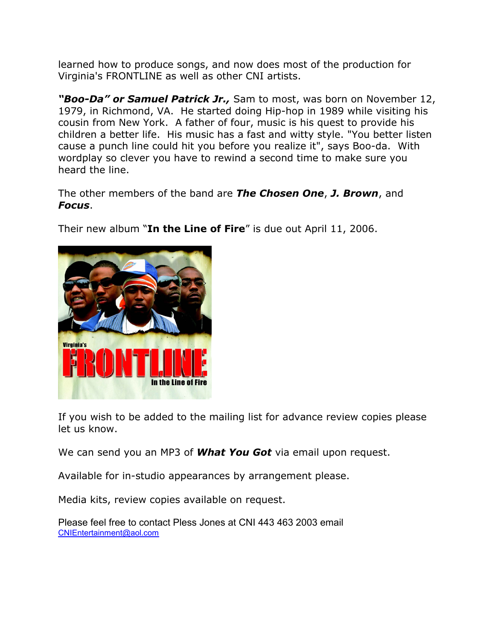learned how to produce songs, and now does most of the production for Virginia's FRONTLINE as well as other CNI artists.

*"Boo-Da" or Samuel Patrick Jr.,* Sam to most, was born on November 12, 1979, in Richmond, VA. He started doing Hip-hop in 1989 while visiting his cousin from New York. A father of four, music is his quest to provide his children a better life. His music has a fast and witty style. "You better listen cause a punch line could hit you before you realize it", says Boo-da. With wordplay so clever you have to rewind a second time to make sure you heard the line.

The other members of the band are *The Chosen One*, *J. Brown*, and *Focus*.

Their new album "**In the Line of Fire**" is due out April 11, 2006.



If you wish to be added to the mailing list for advance review copies please let us know.

We can send you an MP3 of *What You Got* via email upon request.

Available for in-studio appearances by arrangement please.

Media kits, review copies available on request.

Please feel free to contact Pless Jones at CNI 443 463 2003 email [CNIEntertainment@aol.com](mailto:CNIEntertainment@aol.com)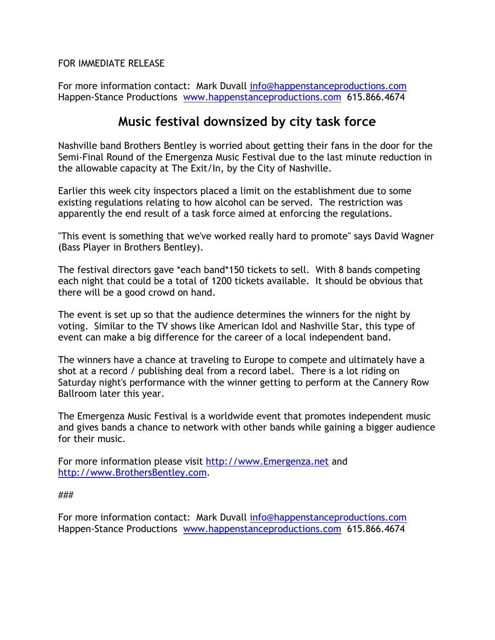FOR IMMEDIATE RELEASE

For more information contact: Mark Duvall [info@happenstanceproductions.com](mailto:info@happenstanceproductions.com) Happen-Stance Productions [www.happenstanceproductions.com](http://www.happenstanceproductions.com/) 615.866.4674

## **Music festival downsized by city task force**

Nashville band Brothers Bentley is worried about getting their fans in the door for the Semi-Final Round of the Emergenza Music Festival due to the last minute reduction in the allowable capacity at The Exit/In, by the City of Nashville.

Earlier this week city inspectors placed a limit on the establishment due to some existing regulations relating to how alcohol can be served. The restriction was apparently the end result of a task force aimed at enforcing the regulations.

"This event is something that we've worked really hard to promote" says David Wagner (Bass Player in Brothers Bentley).

The festival directors gave \*each band\*150 tickets to sell. With 8 bands competing each night that could be a total of 1200 tickets available. It should be obvious that there will be a good crowd on hand.

The event is set up so that the audience determines the winners for the night by voting. Similar to the TV shows like American Idol and Nashville Star, this type of event can make a big difference for the career of a local independent band.

The winners have a chance at traveling to Europe to compete and ultimately have a shot at a record / publishing deal from a record label. There is a lot riding on Saturday night's performance with the winner getting to perform at the Cannery Row Ballroom later this year.

The Emergenza Music Festival is a worldwide event that promotes independent music and gives bands a chance to network with other bands while gaining a bigger audience for their music.

For more information please visit [http://www.Emergenza.net](http://www.emergenza.net/) and [http://www.BrothersBentley.com](http://www.brothersbentley.com/).

###

For more information contact: Mark Duvall [info@happenstanceproductions.com](mailto:info@happenstanceproductions.com) Happen-Stance Productions [www.happenstanceproductions.com](http://www.happenstanceproductions.com/) 615.866.4674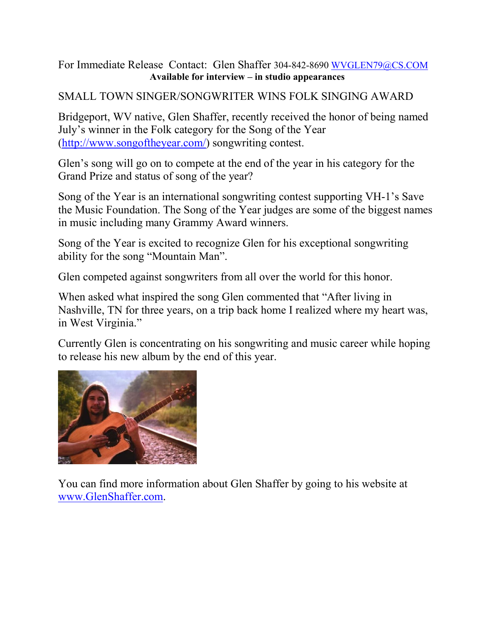### For Immediate Release Contact: Glen Shaffer 304-842-8690 [WVGLEN79@CS.COM](mailto:WVGLEN79@CS.COM) **Available for interview – in studio appearances**

## SMALL TOWN SINGER/SONGWRITER WINS FOLK SINGING AWARD

Bridgeport, WV native, Glen Shaffer, recently received the honor of being named July's winner in the Folk category for the Song of the Year [\(http://www.songoftheyear.com/](http://www.songoftheyear.com/)) songwriting contest.

Glen's song will go on to compete at the end of the year in his category for the Grand Prize and status of song of the year?

Song of the Year is an international songwriting contest supporting VH-1's Save the Music Foundation. The Song of the Year judges are some of the biggest names in music including many Grammy Award winners.

Song of the Year is excited to recognize Glen for his exceptional songwriting ability for the song "Mountain Man".

Glen competed against songwriters from all over the world for this honor.

When asked what inspired the song Glen commented that "After living in Nashville, TN for three years, on a trip back home I realized where my heart was, in West Virginia."

Currently Glen is concentrating on his songwriting and music career while hoping to release his new album by the end of this year.



You can find more information about Glen Shaffer by going to his website at [www.GlenShaffer.com](http://www.glenshaffer.com/).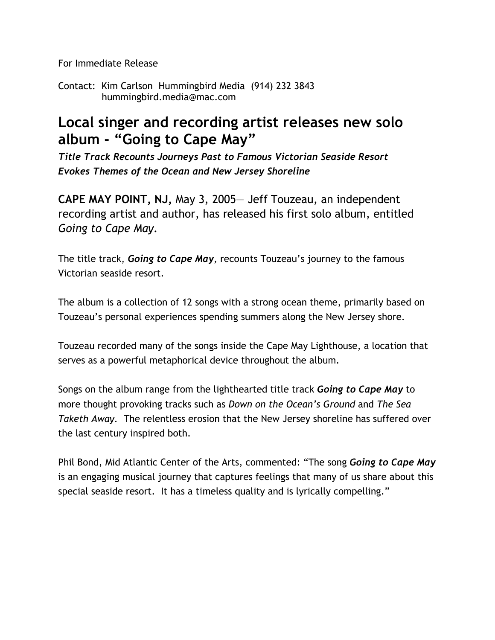For Immediate Release

Contact: Kim Carlson Hummingbird Media (914) 232 3843 hummingbird.media@mac.com

# **Local singer and recording artist releases new solo album - "Going to Cape May"**

*Title Track Recounts Journeys Past to Famous Victorian Seaside Resort Evokes Themes of the Ocean and New Jersey Shoreline* 

**CAPE MAY POINT, NJ,** May 3, 2005— Jeff Touzeau, an independent recording artist and author, has released his first solo album, entitled *Going to Cape May*.

The title track, *Going to Cape May*, recounts Touzeau's journey to the famous Victorian seaside resort.

The album is a collection of 12 songs with a strong ocean theme, primarily based on Touzeau's personal experiences spending summers along the New Jersey shore.

Touzeau recorded many of the songs inside the Cape May Lighthouse, a location that serves as a powerful metaphorical device throughout the album.

Songs on the album range from the lighthearted title track *Going to Cape May* to more thought provoking tracks such as *Down on the Ocean's Ground* and *The Sea Taketh Away.* The relentless erosion that the New Jersey shoreline has suffered over the last century inspired both.

Phil Bond, Mid Atlantic Center of the Arts, commented: "The song *Going to Cape May* is an engaging musical journey that captures feelings that many of us share about this special seaside resort. It has a timeless quality and is lyrically compelling."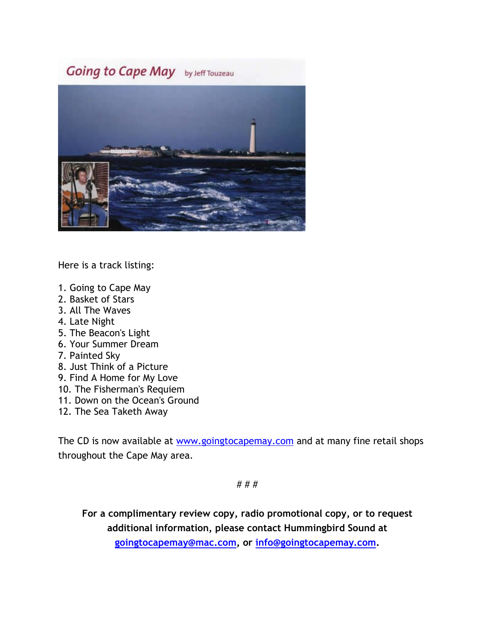# Going to Cape May by Jeff Touzeau



Here is a track listing:

- 1. Going to Cape May
- 2. Basket of Stars
- 3. All The Waves
- 4. Late Night
- 5. The Beacon's Light
- 6. Your Summer Dream
- 7. Painted Sky
- 8. Just Think of a Picture
- 9. Find A Home for My Love
- 10. The Fisherman's Requiem
- 11. Down on the Ocean's Ground
- 12. The Sea Taketh Away

The CD is now available at [www.goingtocapemay.com](http://www.goingtocapemay.com/) and at many fine retail shops throughout the Cape May area.

# # #

**For a complimentary review copy, radio promotional copy, or to request additional information, please contact Hummingbird Sound at [goingtocapemay@mac.com](mailto:goingtocapemay@mac.com), or [info@goingtocapemay.com](mailto:info@goingtocapemay.com).**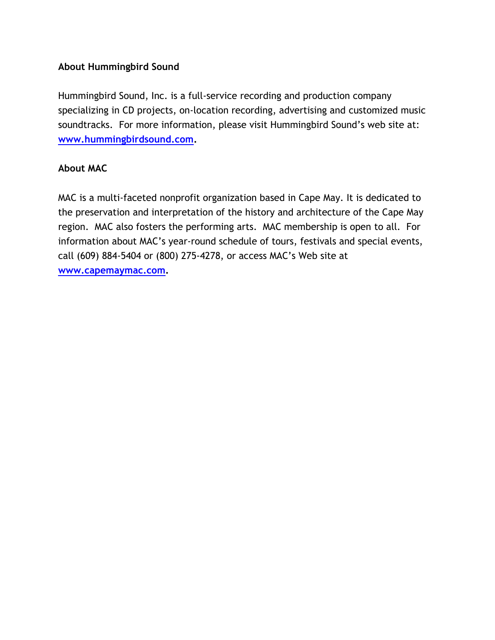### **About Hummingbird Sound**

Hummingbird Sound, Inc. is a full-service recording and production company specializing in CD projects, on-location recording, advertising and customized music soundtracks. For more information, please visit Hummingbird Sound's web site at: **[www.hummingbirdsound.com](http://www.hummingbirdsound.com/).** 

### **About MAC**

MAC is a multi-faceted nonprofit organization based in Cape May. It is dedicated to the preservation and interpretation of the history and architecture of the Cape May region. MAC also fosters the performing arts. MAC membership is open to all. For information about MAC's year-round schedule of tours, festivals and special events, call (609) 884-5404 or (800) 275-4278, or access MAC's Web site at **[www.capemaymac.com](http://www.capemaymac.com/).**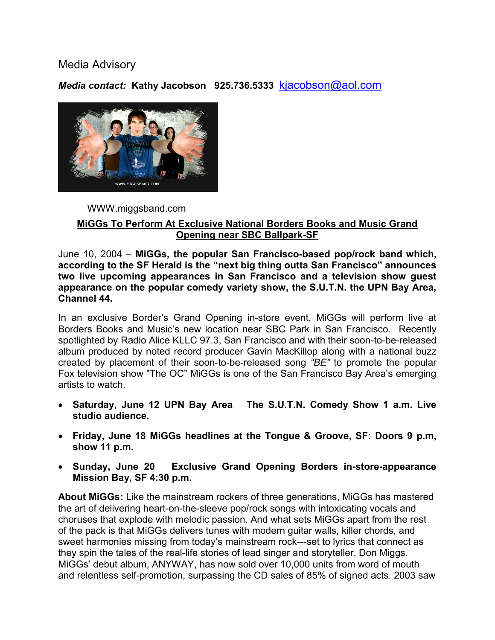### Media Advisory

*Media contact:* **Kathy Jacobson 925.736.5333** [kjacobson@aol.com](mailto:kjacobson@aol.com)



#### WWW.miggsband.com

#### **MiGGs To Perform At Exclusive National Borders Books and Music Grand Opening near SBC Ballpark-SF**

June 10, 2004 – **MiGGs, the popular San Francisco-based pop/rock band which, according to the SF Herald is the "next big thing outta San Francisco" announces two live upcoming appearances in San Francisco and a television show guest appearance on the popular comedy variety show, the S.U.T.N. the UPN Bay Area, Channel 44.** 

In an exclusive Border's Grand Opening in-store event, MiGGs will perform live at Borders Books and Music's new location near SBC Park in San Francisco. Recently spotlighted by Radio Alice KLLC 97.3, San Francisco and with their soon-to-be-released album produced by noted record producer Gavin MacKillop along with a national buzz created by placement of their soon-to-be-released song *"BE"* to promote the popular Fox television show "The OC" MiGGs is one of the San Francisco Bay Area's emerging artists to watch.

- **Saturday, June 12 UPN Bay Area The S.U.T.N. Comedy Show 1 a.m. Live studio audience.**
- **Friday, June 18 MiGGs headlines at the Tongue & Groove, SF: Doors 9 p.m, show 11 p.m.**
- **Sunday, June 20 Exclusive Grand Opening Borders in-store-appearance Mission Bay, SF 4:30 p.m.**

**About MiGGs:** Like the mainstream rockers of three generations, MiGGs has mastered the art of delivering heart-on-the-sleeve pop/rock songs with intoxicating vocals and choruses that explode with melodic passion. And what sets MiGGs apart from the rest of the pack is that MiGGs delivers tunes with modern guitar walls, killer chords, and sweet harmonies missing from today's mainstream rock---set to lyrics that connect as they spin the tales of the real-life stories of lead singer and storyteller, Don Miggs. MiGGs' debut album, ANYWAY, has now sold over 10,000 units from word of mouth and relentless self-promotion, surpassing the CD sales of 85% of signed acts. 2003 saw